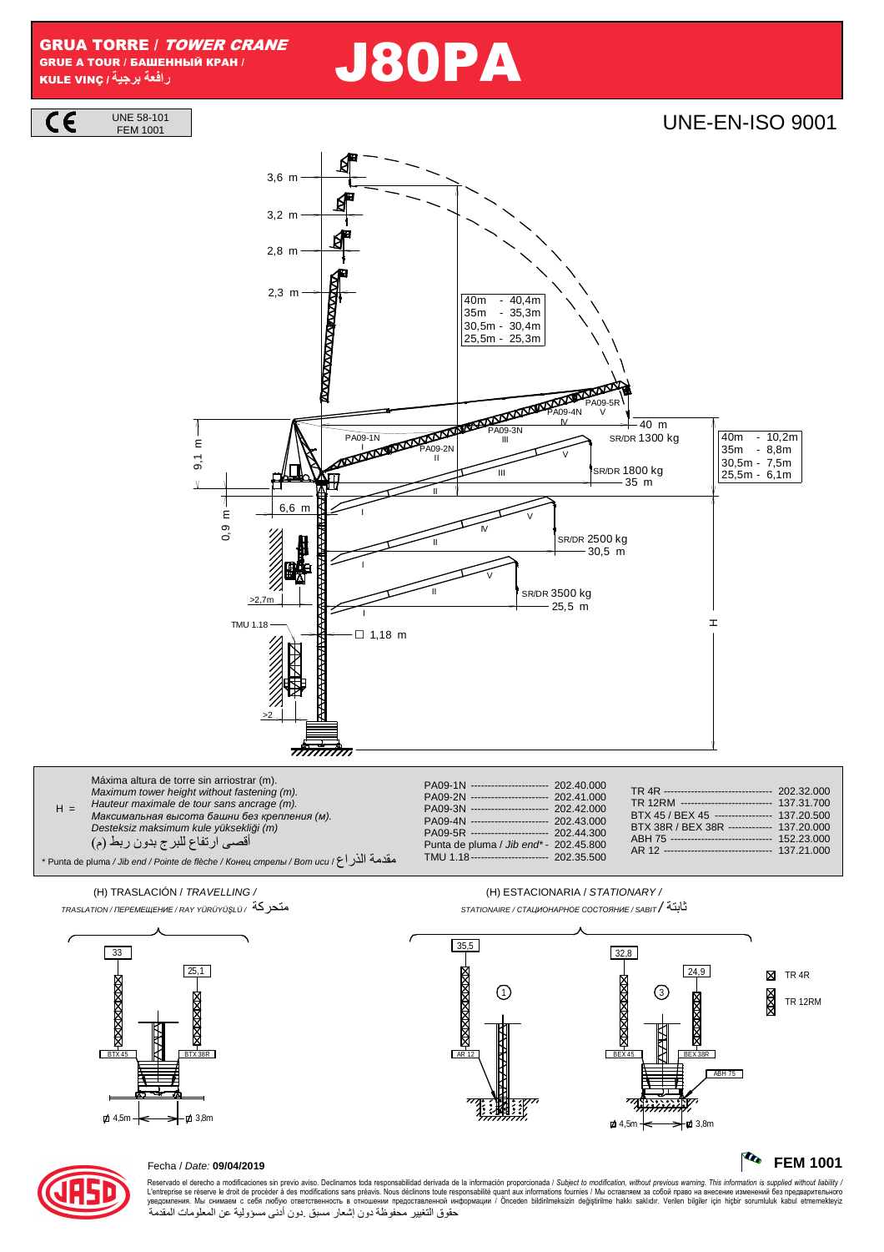**GRUA TORRE / TOWER CRANE** GRUE A TOUR / БАШЕННЫЙ КРАН / رافعة برجية/ KULE VINC

**UNE 58-101** 



**UNE-EN-ISO 9001** 

**FEM 1001** 





## Fecha / Date: 09/04/2019

Reservado el derecho a modificaciones sin previo aviso. Declinamos toda responsabilidad derivada de la información proporcionada / Subject to modification, without previous warning. This information is supplied without lia с состоятельно последность и состоятельно состоянно состоянно последность и состоянно состоянно состоянно состоянно состоянно состоянно состоянно состоянно состоянно состоянно состоянно состоянно состоянно состоянно состо حقوق التغيير محفوظة دون إشعار مسبق دون أدنى مسؤولية عن المعلومات المقدمة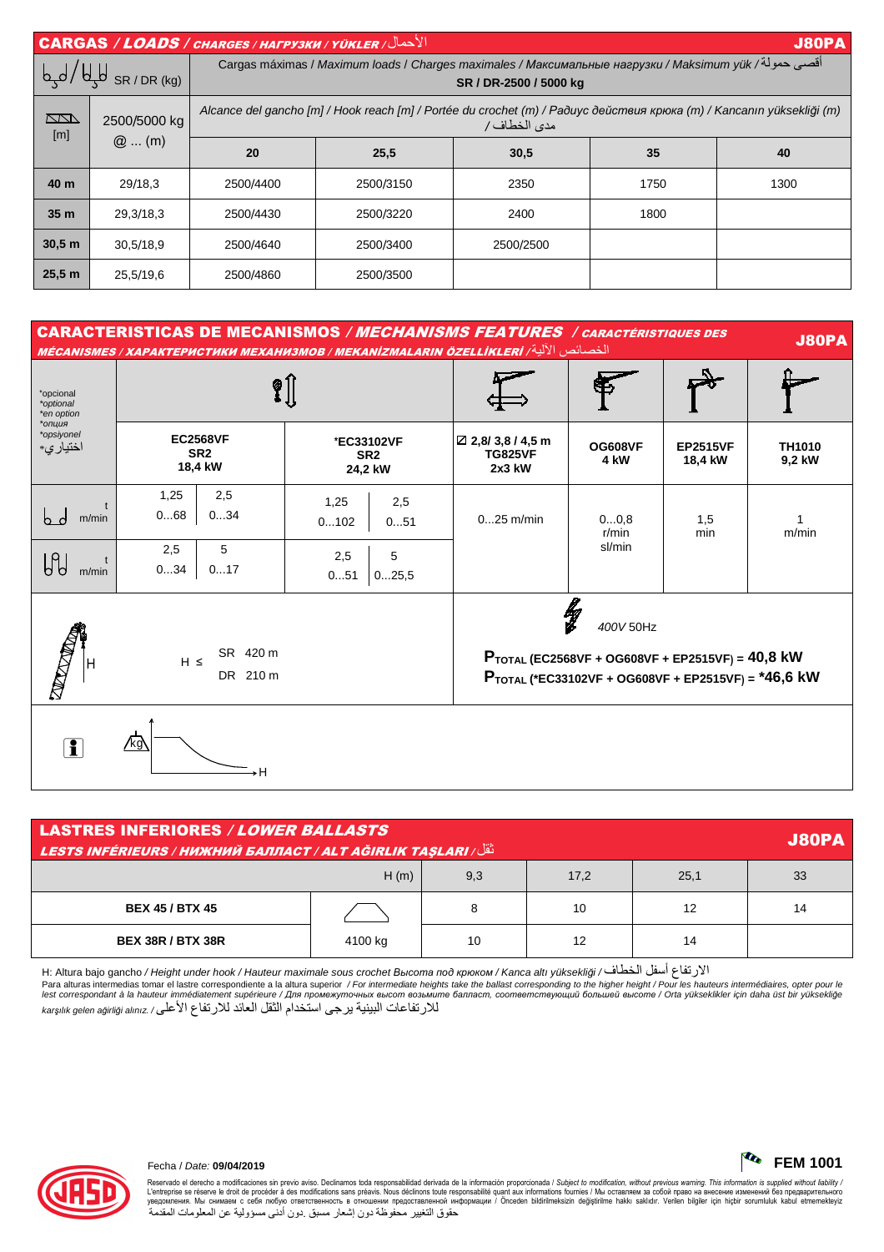|                            |                         | $  \overline{ \textsf{CARGAS} } / \textsf{\textit{LOADS} } /$ CARGAS / $\overline{ \textsf{\textit{LOADS} } } /$ $\overline{ \textsf{\textit{V}} }$ / $\overline{ \textsf{\textit{V}} }$ |           |           |      | <b>J80PA</b> |  |  |
|----------------------------|-------------------------|------------------------------------------------------------------------------------------------------------------------------------------------------------------------------------------|-----------|-----------|------|--------------|--|--|
| $\sqrt{4\mu}$ SR / DR (kg) |                         | أقصي حمولة/ Cargas máximas / <i>Maximum loads</i> / Charges maximales / Максимальные нагрузки / Maksimum yük<br>SR / DR-2500 / 5000 kg                                                   |           |           |      |              |  |  |
| <b>KN</b><br>[m]           | 2500/5000 kg<br>$@$ (m) | Alcance del gancho [m] / Hook reach [m] / Portée du crochet (m) / Paðuyc действия крюка (m) / Kancanın yüksekliği (m)<br>مدى الخطاف/                                                     |           |           |      |              |  |  |
|                            |                         | 20                                                                                                                                                                                       | 25,5      | 30,5      | 35   | 40           |  |  |
| 40 m                       | 29/18,3                 | 2500/4400                                                                                                                                                                                | 2500/3150 | 2350      | 1750 | 1300         |  |  |
| 35 <sub>m</sub>            | 29.3/18.3               | 2500/4430                                                                                                                                                                                | 2500/3220 | 2400      | 1800 |              |  |  |
| 30.5 m                     | 30,5/18,9               | 2500/4640                                                                                                                                                                                | 2500/3400 | 2500/2500 |      |              |  |  |
| 25,5 m                     | 25,5/19,6               | 2500/4860                                                                                                                                                                                | 2500/3500 |           |      |              |  |  |

## **CARACTERISTICAS DE MECANISMOS / MECHANISMS FEATURES / CARACTÉRISTIQUES DES J80PA** MÉCANISMES / XAPAKTEPHCTHKH MEXAHH3MOB / MEKANIZMALARIN ÖZELLİKLERİ / أَلْأَلْبَةُ / MÉCANISMES  $\hat{\mathbf{X}}$ \*opcional \*optional<br>\*en option  $*$ \*opsiyonel **EC2568VF** ☑ 2,8/3,8 / 4,5 m \*EC33102VF **OG608VF EP2515VF TH1010** اختيار ي\* SR<sub>2</sub> SR<sub>2</sub> **TG825VF** 4 kW 9,2 kW 18,4 kW 18,4 kW  $2x3$  kW 24,2 kW  $1,25$  $2.5$  $1.25$  $25$  $bd$  m/min  $0...68$  $0...34$  $0...25$  m/min  $0...0.8$  $1,5$  $0...102$  $0...51$  $\overline{1}$  $r/min$ min  $m/min$ sl/min 5  $2,5$  $U$  $2,5$  $5\overline{5}$  $\overline{1}$  $0...34$  $0...17$  $m/min$  $0...51$  $0...25,5$ lg<br>L 400V 50Hz SR 420 m PTOTAL (EC2568VF + OG608VF + EP2515VF) =  $40,8$  kW  $H \leq$ DR 210 m PTOTAL (\*EC33102VF + OG608VF + EP2515VF) = \*46,6 kW **Eg**  $\mathbf{r}$ ۰H

| <b>LASTRES INFERIORES / LOWER BALLASTS</b><br><b>J80PA</b><br><b>LESTS INFÉRIEURS / НИЖНИЙ БАЛЛАСТ / ALT AĞIRLIK TAŞLARI / انتال</b> |         |     |      |      |    |  |  |  |  |
|--------------------------------------------------------------------------------------------------------------------------------------|---------|-----|------|------|----|--|--|--|--|
| H(m)                                                                                                                                 |         | 9,3 | 17,2 | 25,1 | 33 |  |  |  |  |
| <b>BEX 45 / BTX 45</b>                                                                                                               |         | 8   | 10   | 12   | 14 |  |  |  |  |
| <b>BEX 38R / BTX 38R</b>                                                                                                             | 4100 kg | 10  | 12   | 14   |    |  |  |  |  |

الارتفاع أسفل الخطاف/ H: Altura bajo gancho / Height under hook / Hauteur maximale sous crochet Bыcoma noð крюком / Kanca altı yüksekliği

reaction of the higher property of the method of the method of the method of the ballast corresponding to the higher height / Pour les hauteurs intermédiaties, opter pour le<br>In a alturas intermedias tomar el lastre corres للارتفاعات البينية يرجى استخدام الثقل العائد للارتفاع الأعلى/ karşılık gelen ağırlığı alınız



## Fecha / Date: 09/04/2019

Reservado el derecho a modificaciones sin previo aviso. Declinamos toda responsabilidad derivada de la información proporcionada / Subject to modification, without previous warning. This information is supplied without lia - состояния по подобретального инструкции представленной информации / Önceden bildridnesizin degistrime hakki sakidir. Verilen bilgridne изменений без предварительного инструкции и составительного инструкции и составитель حقوق التغيير محفوظة دون إشعار مسبق دون أدنى مسؤولية عن المعلومات المقدمة

**TO FEM 1001**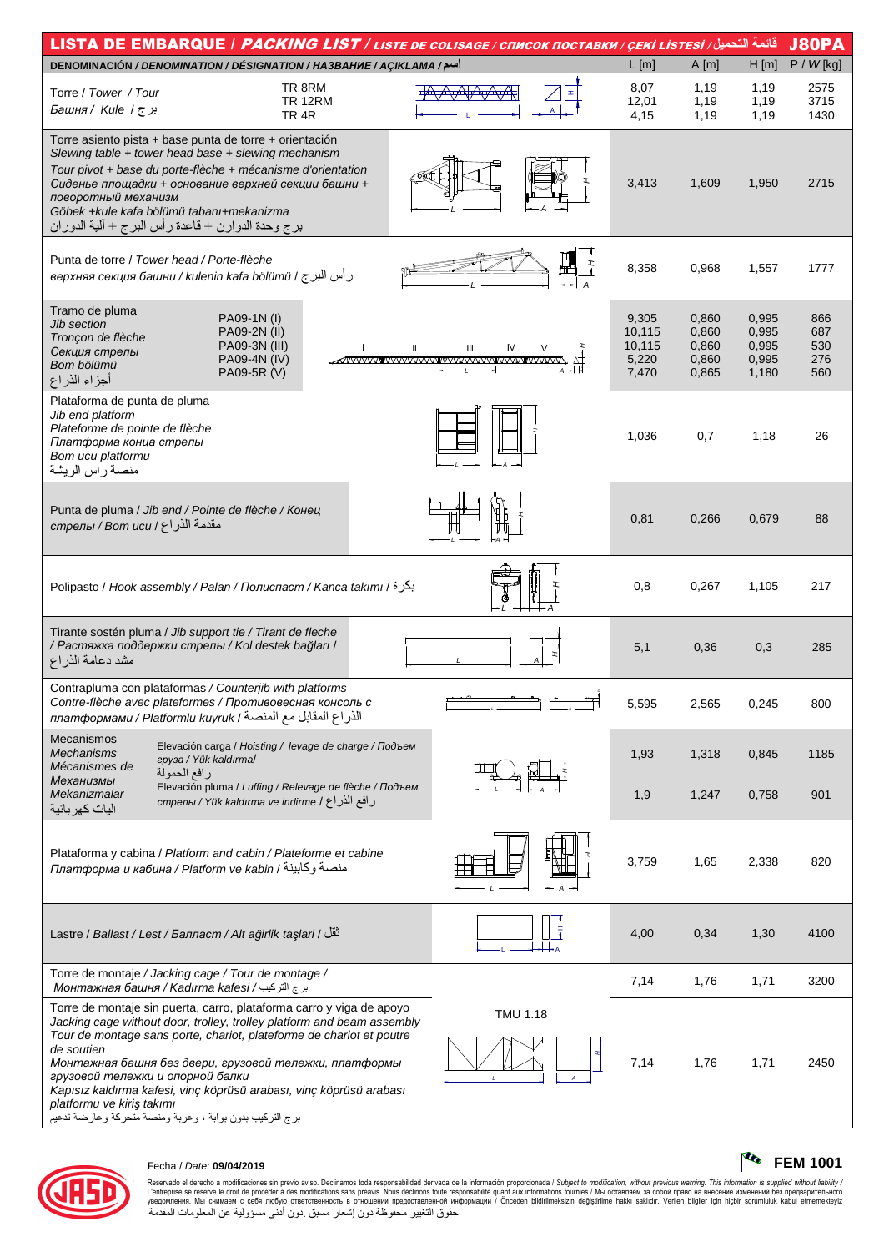| قائمة التحميل/ LISTA DE EMBARQUE / <i>PACKING LIST / LISTE DE COLISAGE / CПИСОК ПОСТАВКИ / ÇEKİ LISTESI</i> / اقائمة                                                                                                                                                                                                                                                                                                                                                                               |                                 |                                             |                                           |                                           |                                 |  |  |
|----------------------------------------------------------------------------------------------------------------------------------------------------------------------------------------------------------------------------------------------------------------------------------------------------------------------------------------------------------------------------------------------------------------------------------------------------------------------------------------------------|---------------------------------|---------------------------------------------|-------------------------------------------|-------------------------------------------|---------------------------------|--|--|
| اسم/ DENOMINACIÓN / DENOMINATION / DÉSIGNATION / HA3BAHUE / AÇIKLAMA                                                                                                                                                                                                                                                                                                                                                                                                                               |                                 | $L$ [m]                                     | A[m]                                      | $H$ [m]                                   | $P / W$ [kg]                    |  |  |
| TR 8RM<br>Torre / Tower / Tour<br><b>TR 12RM</b><br>برج / Башня / Kule /<br>TR 4R                                                                                                                                                                                                                                                                                                                                                                                                                  |                                 | 8,07<br>12,01<br>4,15                       | 1,19<br>1,19<br>1,19                      | 1,19<br>1,19<br>1,19                      | 2575<br>3715<br>1430            |  |  |
| Torre asiento pista + base punta de torre + orientación<br>Slewing table + tower head base + slewing mechanism<br>Tour pivot + base du porte-flèche + mécanisme d'orientation<br>Сиденье площадки + основание верхней секции башни +<br>поворотный механизм<br>Göbek +kule kafa bölümü tabanı+mekanizma<br>برج وحدة الدوارن + قاعدة ر أس البرج + ألية الدوران                                                                                                                                      |                                 | 3,413                                       | 1,609                                     | 1,950                                     | 2715                            |  |  |
| Punta de torre / Tower head / Porte-flèche<br>و أس البر ج / верхняя секция башни / kulenin kafa bölümü /                                                                                                                                                                                                                                                                                                                                                                                           | $\ddot{+}$                      | 8,358                                       | 0,968                                     | 1,557                                     | 1777                            |  |  |
| Tramo de pluma<br>PA09-1N (I)<br><b>Jib section</b><br>PA09-2N (II)<br>Tronçon de flèche<br>PA09-3N (III)<br>$\mathbf{I}$<br>Секция стрелы<br>PA09-4N (IV)<br>Bom bölümü<br>PA09-5R (V)<br>أجزاء الذراع                                                                                                                                                                                                                                                                                            | Ш<br>IV<br>WWWWWWWWWWWWWWWWWWWW | 9,305<br>10,115<br>10,115<br>5,220<br>7,470 | 0,860<br>0,860<br>0,860<br>0,860<br>0,865 | 0,995<br>0,995<br>0,995<br>0,995<br>1,180 | 866<br>687<br>530<br>276<br>560 |  |  |
| Plataforma de punta de pluma<br>Jib end platform<br>Plateforme de pointe de flèche<br>Платформа конца стрелы<br>Bom ucu platformu<br>منصة راس الريشة                                                                                                                                                                                                                                                                                                                                               |                                 | 1,036                                       | 0,7                                       | 1,18                                      | 26                              |  |  |
| Punta de pluma / Jib end / Pointe de flèche / Конец<br>مقدمة الذراع / Вот иси / стрелы / Вот                                                                                                                                                                                                                                                                                                                                                                                                       |                                 | 0,81                                        | 0,266                                     | 0,679                                     | 88                              |  |  |
| Polipasto / Hook assembly / Palan / Полиспаст / Kanca takımı / بكرة                                                                                                                                                                                                                                                                                                                                                                                                                                |                                 | 0,8                                         | 0,267                                     | 1,105                                     | 217                             |  |  |
| Tirante sostén pluma / Jib support tie / Tirant de fleche<br>/ Растяжка поддержки стрелы / Kol destek bağları /<br>مشد دعامة الذراع                                                                                                                                                                                                                                                                                                                                                                |                                 | 5,1                                         | 0,36                                      | 0,3                                       | 285                             |  |  |
| Contrapluma con plataformas / Counterjib with platforms<br>Contre-flèche avec plateformes / Противовесная консоль с<br>الذراع المقابل مع المنصة / платформами / Platformlu kuyruk                                                                                                                                                                                                                                                                                                                  |                                 |                                             |                                           |                                           |                                 |  |  |
| <b>Mecanismos</b><br>Elevación carga / Hoisting / levage de charge / Подъем<br><b>Mechanisms</b><br>apysa / Yük kaldırmal<br>Mécanismes de<br>رافع الحمولة<br>Механизмы                                                                                                                                                                                                                                                                                                                            |                                 | 1,93                                        | 1,318                                     | 0,845                                     | 1185                            |  |  |
| Elevación pluma / Luffing / Relevage de flèche / Подъем<br>Mekanizmalar<br>رافع الذراع / cmpeлы / Yük kaldırma ve indirme<br>آليات كهر بائية                                                                                                                                                                                                                                                                                                                                                       |                                 | 1,9                                         | 1,247                                     | 0,758                                     | 901                             |  |  |
| Plataforma y cabina / Platform and cabin / Plateforme et cabine<br>платформа и кабина / Platform ve kabin / منصة وكابينة                                                                                                                                                                                                                                                                                                                                                                           |                                 | 3,759                                       | 1,65                                      | 2,338                                     | 820                             |  |  |
| تْقَلْ / Lastre / Ballast / Lest / Балласт / Alt ağirlik taşlari / تَقَلْ                                                                                                                                                                                                                                                                                                                                                                                                                          |                                 | 4,00                                        | 0,34                                      | 1,30                                      | 4100                            |  |  |
| Torre de montaje / Jacking cage / Tour de montage /<br>برج التركيب / Mонтажная башня / Kadırma kafesi                                                                                                                                                                                                                                                                                                                                                                                              |                                 | 7,14                                        | 1,76                                      | 1,71                                      | 3200                            |  |  |
| Torre de montaje sin puerta, carro, plataforma carro y viga de apoyo<br>Jacking cage without door, trolley, trolley platform and beam assembly<br>Tour de montage sans porte, chariot, plateforme de chariot et poutre<br>de soutien<br>Монтажная башня без двери, грузовой тележки, платформы<br>грузовой тележки и опорной балки<br>Kapısız kaldırma kafesi, vinç köprüsü arabası, vinç köprüsü arabası<br>platformu ve kiriş takımı<br>برج التركيب بدون بوابة ، وعربة ومنصة متحركة وعارضة تدعيم | TMU 1.18                        | 7,14                                        | 1,76                                      | 1,71                                      | 2450                            |  |  |



## Fecha / Date: 09/04/2019

. Осведил и советими на советими в светими в совета в течесное выпростания и советими в советими в советими в<br>Пределивается в совете в droit de procéder à des modifications sans préavis. Nous déclinons toute responsabili

**TO** FEM 1001